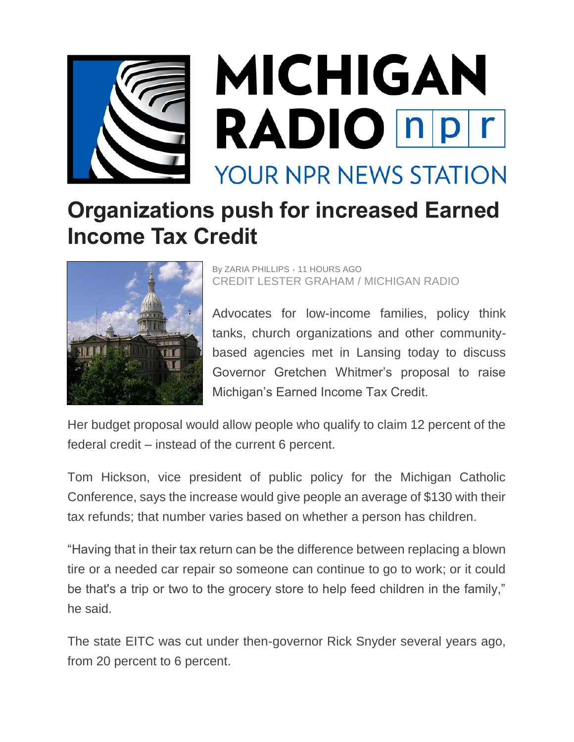

## **Organizations push for increased Earned Income Tax Credit**



By ZARIA PHILLIPS *•* 11 HOURS AGO CREDIT LESTER GRAHAM / MICHIGAN RADIO

Advocates for low-income families, policy think tanks, church organizations and other communitybased agencies met in Lansing today to discuss Governor Gretchen Whitmer's proposal to raise Michigan's Earned Income Tax Credit.

Her budget proposal would allow people who qualify to claim 12 percent of the federal credit – instead of the current 6 percent.

Tom Hickson, vice president of public policy for the Michigan Catholic Conference, says the increase would give people an average of \$130 with their tax refunds; that number varies based on whether a person has children.

"Having that in their tax return can be the difference between replacing a blown tire or a needed car repair so someone can continue to go to work; or it could be that's a trip or two to the grocery store to help feed children in the family," he said.

The state EITC was cut under then-governor Rick Snyder several years ago, from 20 percent to 6 percent.